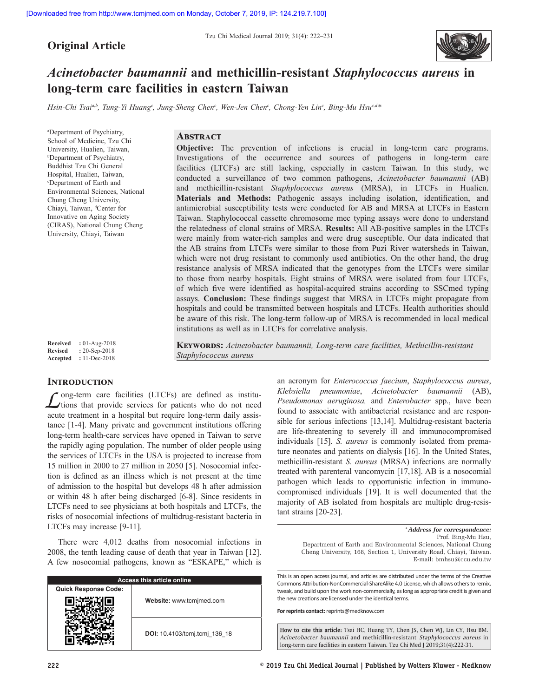# **Original Article**

Tzu Chi Medical Journal 2019; 31(4): 222–231



# *Acinetobacter baumannii* **and methicillin-resistant** *Staphylococcus aureus* **in long-term care facilities in eastern Taiwan**

*Hsin‑Chi Tsaia,b, Tung‑Yi Huangc , Jung‑Sheng Chenc , Wen‑Jen Chenc , Chong‑Yen Linc , Bing‑Mu Hsuc,d\**

*Staphylococcus aureus*

a Department of Psychiatry, School of Medicine, Tzu Chi University, Hualien, Taiwan, b Department of Psychiatry, Buddhist Tzu Chi General Hospital, Hualien, Taiwan, c Department of Earth and Environmental Sciences, National Chung Cheng University, Chiayi, Taiwan, dCenter for Innovative on Aging Society (CIRAS), National Chung Cheng University, Chiayi, Taiwan

# **Abstract**

**Objective:** The prevention of infections is crucial in long-term care programs. Investigations of the occurrence and sources of pathogens in long-term care facilities (LTCFs) are still lacking, especially in eastern Taiwan. In this study, we conducted a surveillance of two common pathogens, *Acinetobacter baumannii* (AB) and methicillin-resistant *Staphylococcus aureus* (MRSA), in LTCFs in Hualien. **Materials and Methods:** Pathogenic assays including isolation, identification, and antimicrobial susceptibility tests were conducted for AB and MRSA at LTCFs in Eastern Taiwan. Staphylococcal cassette chromosome mec typing assays were done to understand the relatedness of clonal strains of MRSA. **Results:** All AB-positive samples in the LTCFs were mainly from water-rich samples and were drug susceptible. Our data indicated that the AB strains from LTCFs were similar to those from Puzi River watersheds in Taiwan, which were not drug resistant to commonly used antibiotics. On the other hand, the drug resistance analysis of MRSA indicated that the genotypes from the LTCFs were similar to those from nearby hospitals. Eight strains of MRSA were isolated from four LTCFs, of which five were identified as hospital‑acquired strains according to SSCmed typing assays. **Conclusion:** These findings suggest that MRSA in LTCFs might propagate from hospitals and could be transmitted between hospitals and LTCFs. Health authorities should be aware of this risk. The long-term follow-up of MRSA is recommended in local medical institutions as well as in LTCFs for correlative analysis.

**Keywords:** *Acinetobacter baumannii, Long‑term care facilities, Methicillin‑resistant* 

**Received :** 01-Aug-2018 **Revised :** 20-Sep-2018 **Accepted :** 11-Dec-2018

# **INTRODUCTION**

*L*ong-term care facilities (LTCFs) are defined as institu-<br>tions that provide services for patients who do not need acute treatment in a hospital but require long-term daily assistance [1-4]. Many private and government institutions offering long-term health-care services have opened in Taiwan to serve the rapidly aging population. The number of older people using the services of LTCFs in the USA is projected to increase from 15 million in 2000 to 27 million in 2050 [5]. Nosocomial infection is defined as an illness which is not present at the time of admission to the hospital but develops 48 h after admission or within 48 h after being discharged [6-8]. Since residents in LTCFs need to see physicians at both hospitals and LTCFs, the risks of nosocomial infections of multidrug-resistant bacteria in LTCFs may increase [9-11].

There were 4,012 deaths from nosocomial infections in 2008, the tenth leading cause of death that year in Taiwan [12]. A few nosocomial pathogens, known as "ESKAPE," which is

|                             | Access this article online    |
|-----------------------------|-------------------------------|
| <b>Quick Response Code:</b> |                               |
|                             | Website: www.tcmjmed.com      |
|                             | DOI: 10.4103/tcmj.tcmj 136 18 |

an acronym for *Enterococcus faecium*, *Staphylococcus aureus*, *Klebsiella pneumoniae*, *Acinetobacter baumannii* (AB), *Pseudomonas aeruginosa,* and *Enterobacter* spp., have been found to associate with antibacterial resistance and are responsible for serious infections [13,14]. Multidrug-resistant bacteria are life-threatening to severely ill and immunocompromised individuals [15]. *S. aureus* is commonly isolated from premature neonates and patients on dialysis [16]. In the United States, methicillin-resistant *S. aureus* (MRSA) infections are normally treated with parenteral vancomycin [17,18]. AB is a nosocomial pathogen which leads to opportunistic infection in immunocompromised individuals [19]. It is well documented that the majority of AB isolated from hospitals are multiple drug-resistant strains [20-23].

Department of Earth and Environmental Sciences, National Chung Cheng University, 168, Section 1, University Road, Chiayi, Taiwan. E‑mail: bmhsu@ccu.edu.tw

This is an open access journal, and articles are distributed under the terms of the Creative Commons Attribution-NonCommercial-ShareAlike 4.0 License, which allows others to remix, tweak, and build upon the work non-commercially, as long as appropriate credit is given and the new creations are licensed under the identical terms.

**For reprints contact:** reprints@medknow.com

**How to cite this article:** Tsai HC, Huang TY, Chen JS, Chen WJ, Lin CY, Hsu BM. *Acinetobacter baumannii* and methicillin-resistant *Staphylococcus aureus* in long-term care facilities in eastern Taiwan. Tzu Chi Med J 2019;31(4):222-31.

<sup>\*</sup>*Address for correspondence:* Prof. Bing-Mu Hsu,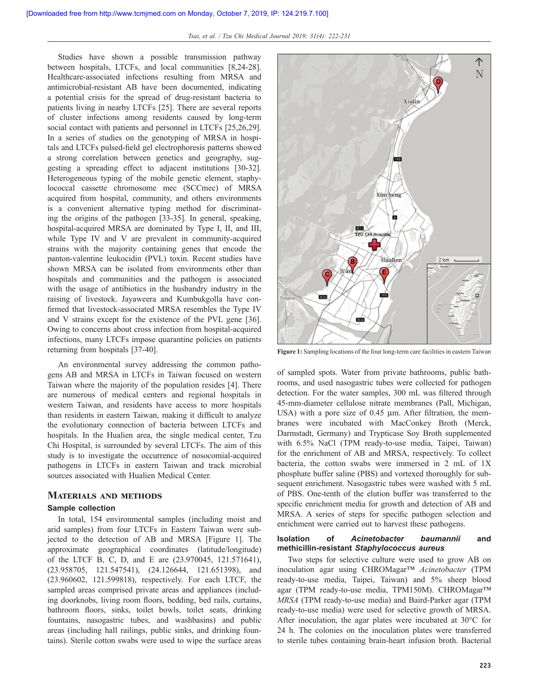Studies have shown a possible transmission pathway between hospitals, LTCFs, and local communities [8,24-28]. Healthcare-associated infections resulting from MRSA and antimicrobial-resistant AB have been documented, indicating a potential crisis for the spread of drug-resistant bacteria to patients living in nearby LTCFs [25]. There are several reports of cluster infections among residents caused by long-term social contact with patients and personnel in LTCFs [25,26,29]. In a series of studies on the genotyping of MRSA in hospitals and LTCFs pulsed‑field gel electrophoresis patterns showed a strong correlation between genetics and geography, suggesting a spreading effect to adjacent institutions [30-32]. Heterogeneous typing of the mobile genetic element, staphylococcal cassette chromosome mec (SCCmec) of MRSA acquired from hospital, community, and others environments is a convenient alternative typing method for discriminating the origins of the pathogen [33-35]. In general, speaking, hospital-acquired MRSA are dominated by Type I, II, and III, while Type IV and V are prevalent in community-acquired strains with the majority containing genes that encode the panton-valentine leukocidin (PVL) toxin. Recent studies have shown MRSA can be isolated from environments other than hospitals and communities and the pathogen is associated with the usage of antibiotics in the husbandry industry in the raising of livestock. Jayaweera and Kumbukgolla have confirmed that livestock-associated MRSA resembles the Type IV and V strains except for the existence of the PVL gene [36]. Owing to concerns about cross infection from hospital-acquired infections, many LTCFs impose quarantine policies on patients returning from hospitals [37-40].

An environmental survey addressing the common pathogens AB and MRSA in LTCFs in Taiwan focused on western Taiwan where the majority of the population resides [4]. There are numerous of medical centers and regional hospitals in western Taiwan, and residents have access to more hospitals than residents in eastern Taiwan, making it difficult to analyze the evolutionary connection of bacteria between LTCFs and hospitals. In the Hualien area, the single medical center, Tzu Chi Hospital, is surrounded by several LTCFs. The aim of this study is to investigate the occurrence of nosocomial-acquired pathogens in LTCFs in eastern Taiwan and track microbial sources associated with Hualien Medical Center.

#### **Materials and methods**

#### **Sample collection**

In total, 154 environmental samples (including moist and arid samples) from four LTCFs in Eastern Taiwan were subjected to the detection of AB and MRSA [Figure 1]. The approximate geographical coordinates (latitude/longitude) of the LTCF B, C, D, and E are (23.970045, 121.571641), (23.958705, 121.547541), (24.126644, 121.651398), and (23.960602, 121.599818), respectively. For each LTCF, the sampled areas comprised private areas and appliances (including doorknobs, living room floors, bedding, bed rails, curtains, bathroom floors, sinks, toilet bowls, toilet seats, drinking fountains, nasogastric tubes, and washbasins) and public areas (including hall railings, public sinks, and drinking fountains). Sterile cotton swabs were used to wipe the surface areas



**Figure 1:** Sampling locations of the four long-term care facilities in eastern Taiwan

of sampled spots. Water from private bathrooms, public bathrooms, and used nasogastric tubes were collected for pathogen detection. For the water samples, 300 mL was filtered through 45-mm-diameter cellulose nitrate membranes (Pall, Michigan, USA) with a pore size of 0.45 μm. After filtration, the membranes were incubated with MacConkey Broth (Merck, Darmstadt, Germany) and Trypticase Soy Broth supplemented with 6.5% NaCl (TPM ready-to-use media, Taipei, Taiwan) for the enrichment of AB and MRSA, respectively. To collect bacteria, the cotton swabs were immersed in 2 mL of 1X phosphate buffer saline (PBS) and vortexed thoroughly for subsequent enrichment. Nasogastric tubes were washed with 5 mL of PBS. One-tenth of the elution buffer was transferred to the specific enrichment media for growth and detection of AB and MRSA. A series of steps for specific pathogen selection and enrichment were carried out to harvest these pathogens.

#### **Isolation of** *Acinetobacter baumannii* **and methicillin-resistant** *Staphylococcus aureus*

Two steps for selective culture were used to grow AB on inoculation agar using CHROMagar™ *Acinetobacter* (TPM ready-to-use media, Taipei, Taiwan) and 5% sheep blood agar (TPM ready-to-use media, TPM150M). CHROMagar™ *MRSA* (TPM ready-to-use media) and Baird-Parker agar (TPM ready-to-use media) were used for selective growth of MRSA. After inoculation, the agar plates were incubated at 30°C for 24 h. The colonies on the inoculation plates were transferred to sterile tubes containing brain-heart infusion broth. Bacterial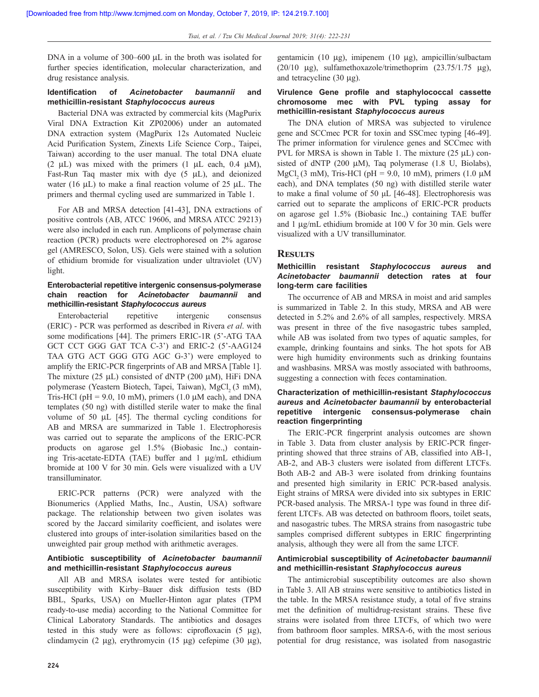DNA in a volume of 300–600 μL in the broth was isolated for further species identification, molecular characterization, and drug resistance analysis.

# **Identification of** *Acinetobacter baumannii* **and methicillin-resistant** *Staphylococcus aureus*

Bacterial DNA was extracted by commercial kits (MagPurix Viral DNA Extraction Kit ZP02006) under an automated DNA extraction system (MagPurix 12s Automated Nucleic Acid Purification System, Zinexts Life Science Corp., Taipei, Taiwan) according to the user manual. The total DNA eluate (2 μL) was mixed with the primers  $(1 \mu L \text{ each}, 0.4 \mu M)$ , Fast-Run Taq master mix with dye (5 μL), and deionized water (16  $\mu$ L) to make a final reaction volume of 25  $\mu$ L. The primers and thermal cycling used are summarized in Table 1.

For AB and MRSA detection [41-43], DNA extractions of positive controls (AB, ATCC 19606, and MRSA ATCC 29213) were also included in each run. Amplicons of polymerase chain reaction (PCR) products were electrophoresed on 2% agarose gel (AMRESCO, Solon, US). Gels were stained with a solution of ethidium bromide for visualization under ultraviolet (UV) light.

# **Enterobacterial repetitive intergenic consensus‑polymerase chain reaction for** *Acinetobacter baumannii* **and methicillin-resistant** *Staphylococcus aureus*

Enterobacterial repetitive intergenic consensus (ERIC) - PCR was performed as described in Rivera *et al*. with some modifications [44]. The primers ERIC-1R (5'-ATG TAA GCT CCT GGG GAT TCA C-3') and ERIC-2 (5'-AAG124 TAA GTG ACT GGG GTG AGC G-3') were employed to amplify the ERIC‑PCR fingerprints of AB and MRSA [Table 1]. The mixture (25 μL) consisted of dNTP (200 μM), HiFi DNA polymerase (Yeastern Biotech, Tapei, Taiwan), MgCl<sub>2</sub> (3 mM), Tris-HCl ( $pH = 9.0$ , 10 mM), primers (1.0  $\mu$ M each), and DNA templates (50 ng) with distilled sterile water to make the final volume of 50 μL [45]. The thermal cycling conditions for AB and MRSA are summarized in Table 1. Electrophoresis was carried out to separate the amplicons of the ERIC-PCR products on agarose gel 1.5% (Biobasic Inc.,) containing Tris-acetate-EDTA (TAE) buffer and 1 μg/mL ethidium bromide at 100 V for 30 min. Gels were visualized with a UV transilluminator.

ERIC-PCR patterns (PCR) were analyzed with the Bionumerics (Applied Maths, Inc., Austin, USA) software package. The relationship between two given isolates was scored by the Jaccard similarity coefficient, and isolates were clustered into groups of inter-isolation similarities based on the unweighted pair group method with arithmetic averages.

# **Antibiotic susceptibility of** *Acinetobacter baumannii*  **and methicillin-resistant** *Staphylococcus aureus*

All AB and MRSA isolates were tested for antibiotic susceptibility with Kirby–Bauer disk diffusion tests (BD BBL, Sparks, USA) on Mueller-Hinton agar plates (TPM ready-to-use media) according to the National Committee for Clinical Laboratory Standards. The antibiotics and dosages tested in this study were as follows: ciprofloxacin (5 μg), clindamycin (2 μg), erythromycin (15 μg) cefepime (30 μg),

# **Virulence Gene profile and staphylococcal cassette chromosome mec with PVL typing assay for methicillin-resistant** *Staphylococcus aureus*

The DNA elution of MRSA was subjected to virulence gene and SCCmec PCR for toxin and SSCmec typing [46-49]. The primer information for virulence genes and SCCmec with PVL for MRSA is shown in Table 1. The mixture (25 μL) consisted of dNTP (200  $\mu$ M), Taq polymerase (1.8 U, Biolabs), MgCl<sub>2</sub> (3 mM), Tris-HCl (pH = 9.0, 10 mM), primers (1.0  $\mu$ M each), and DNA templates (50 ng) with distilled sterile water to make a final volume of 50 μL [46‑48]. Electrophoresis was carried out to separate the amplicons of ERIC-PCR products on agarose gel 1.5% (Biobasic Inc.,) containing TAE buffer and 1 μg/mL ethidium bromide at 100 V for 30 min. Gels were visualized with a UV transilluminator.

### **Results**

# **Methicillin resistant** *Staphylococcus aureus* **and**  *Acinetobacter baumannii* **detection rates at four long-term care facilities**

The occurrence of AB and MRSA in moist and arid samples is summarized in Table 2. In this study, MRSA and AB were detected in 5.2% and 2.6% of all samples, respectively. MRSA was present in three of the five nasogastric tubes sampled, while AB was isolated from two types of aquatic samples, for example, drinking fountains and sinks. The hot spots for AB were high humidity environments such as drinking fountains and washbasins. MRSA was mostly associated with bathrooms, suggesting a connection with feces contamination.

# **Characterization of methicillin-resistant** *Staphylococcus aureus* **and** *Acinetobacter baumannii* **by enterobacterial repetitive intergenic consensus‑polymerase chain reaction fingerprinting**

The ERIC‑PCR fingerprint analysis outcomes are shown in Table 3. Data from cluster analysis by ERIC‑PCR fingerprinting showed that three strains of AB, classified into AB-1, AB-2, and AB-3 clusters were isolated from different LTCFs. Both AB-2 and AB-3 were isolated from drinking fountains and presented high similarity in ERIC PCR-based analysis. Eight strains of MRSA were divided into six subtypes in ERIC PCR-based analysis. The MRSA-1 type was found in three different LTCFs. AB was detected on bathroom floors, toilet seats, and nasogastric tubes. The MRSA strains from nasogastric tube samples comprised different subtypes in ERIC fingerprinting analysis, although they were all from the same LTCF.

### **Antimicrobial susceptibility of** *Acinetobacter baumannii*  **and methicillin-resistant** *Staphylococcus aureus*

The antimicrobial susceptibility outcomes are also shown in Table 3. All AB strains were sensitive to antibiotics listed in the table. In the MRSA resistance study, a total of five strains met the definition of multidrug-resistant strains. These five strains were isolated from three LTCFs, of which two were from bathroom floor samples. MRSA-6, with the most serious potential for drug resistance, was isolated from nasogastric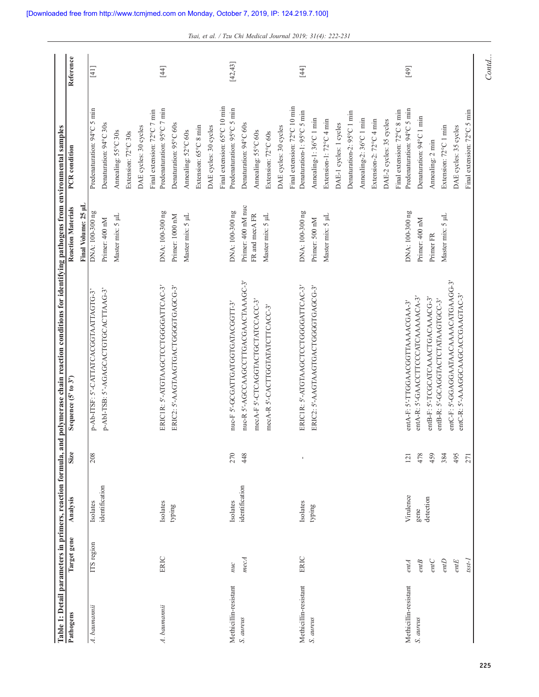| Pathogens             | Target gene   | Analysis                   | <b>Size</b> | Sequence (5' to 3')                                                           | Final Volume: 25 µL<br><b>Reaction Materials</b> | PCR condition                                                                       | Reference |
|-----------------------|---------------|----------------------------|-------------|-------------------------------------------------------------------------------|--------------------------------------------------|-------------------------------------------------------------------------------------|-----------|
| A. baumannii          | ITS region    | identification<br>Isolates | 208         | p-AbI-TSB: 5'-AGAGCACTGTGCACTTAAG-3'<br>p-Ab-ITSF: S'-CATTATCACGGTAATTAGTG-3' | DNA: 100-300 ng<br>Primer: 400 nM                | Predenaturation: 94°C 5 min<br>Denaturation: 94°C 30s                               | $[4]$     |
|                       |               |                            |             |                                                                               | Master mix: 5 µL                                 | Annealing: 55°C 30s<br>Extension: 72°C 30s                                          |           |
| A. baumannii          | ERIC          | Isolates                   |             | ERICIR: 5'-ATGTAAGCTCCTGGGGATTCAC-3'                                          | DNA: 100-300 ng                                  | Predenaturation: 95°C 7 min<br>Final extension: 72°C 7 min<br>DAE cycles: 30 cycles | $[4]$     |
|                       |               | typing                     |             | ERIC2: 5'-AAGTAAGTGACTGGGGTGAGCG-3'                                           | Master mix: 5 µL<br>Primer: 1000 nM              | Denaturation: 95°C 60s<br>Annealing: 52°C 60s                                       |           |
|                       |               |                            |             |                                                                               |                                                  | Extension: 65°C 8 min                                                               |           |
|                       |               |                            |             |                                                                               |                                                  | Final extension: 65°C 10 min<br>DAE cycles: 30 cycles                               |           |
| Methicillin-resistant | nuc           | Isolates                   | 270         | mc-F 5'-GCGATTGATGGTGATACGGTT-3'                                              | DNA: 100-300 ng                                  | Predenaturation: 95°C 5 min                                                         | [42, 43]  |
| S. aureus             | mecA          | identification             | 448         | mc-R 5'-AGCCAAGCCTTGACGAACTAAAGC-3'<br>mecA-F 5'-CTCAGGTACTGCTATCCACC-3'      | Primer: 400 nM nuc<br>FR and mecA FR             | Denaturation: 94°C 60s<br>Annealing: 55°C 60s                                       |           |
|                       |               |                            |             | mecA-R 5'-CACTTGGTATATCTTCACC-3'                                              | Master mix: 5 µL                                 | Extension: 72°C 60s                                                                 |           |
|                       |               |                            |             |                                                                               |                                                  | DAE cycles: 30 cycles                                                               |           |
| Methicillin-resistant | ERIC          | Isolates                   |             | ERICIR: 5'-ATGTAAGCTCCTGGGGATTCAC-3'                                          | DNA: 100-300 ng                                  | Final extension: 72°C 10 min<br>Denaturation-1: 95°C 5 min                          | [4]       |
| S. aureus             |               | typing                     |             | ERIC2: 5'-AAGTAAGTGACTGGGGTGAGCG-3'                                           | Primer: 500 nM                                   | Annealing-1:36°C 1 min                                                              |           |
|                       |               |                            |             |                                                                               | Master mix: 5 µL                                 | Extension-1: 72°C 4 min                                                             |           |
|                       |               |                            |             |                                                                               |                                                  | DAE-1 cycles: 1 cycles                                                              |           |
|                       |               |                            |             |                                                                               |                                                  | Denaturation-2: 95°C 1 min                                                          |           |
|                       |               |                            |             |                                                                               |                                                  | Annealing-2: 36°C 1 min                                                             |           |
|                       |               |                            |             |                                                                               |                                                  | Extension-2: 72°C 4 min                                                             |           |
|                       |               |                            |             |                                                                               |                                                  | DAE-2 cycles: 35 cycles                                                             |           |
| Methicillin-resistant |               | Virulence                  | 121         | entA-F: S'-TTGGAACGGTTAAAACGAA-3'                                             | DNA: 100-300 ng                                  | Predenaturation: 94°C 5 min<br>Final extension: 72°C 8 min                          | $[49]$    |
| S. aureus             | entA<br>entB  | gene                       | 478         | entA-R: 5'-GAACCTTCCCATCAAAAACA-3'                                            | Primer: 400 nM                                   | Denaturation: 94°C 1 min                                                            |           |
|                       | entC          | detection                  | 459         | entB-F: S'-TCGCATCAAACTGACAAACG-3'                                            | Primer FR                                        | Annealing: 2 min                                                                    |           |
|                       | $\emph{entD}$ |                            | 384         | entB-R: 5'-GCAGGTACTCTATAAGTGCC-3'                                            | Master mix: 5 µL                                 | Extension: 72°C 1 min                                                               |           |
|                       | entE          |                            | 495         | entC-F: 5'-GGAGGAATAACAAAACATGAAGG-3'<br>entC-R: S'-AAAGGCAAGCACCGAAGTAC-3'   |                                                  | DAE cycles: 35 cycles                                                               |           |
|                       | $t$ sst- $I$  |                            | 271         |                                                                               |                                                  | Final extension: 72°C 5 min                                                         |           |

*Tsai, et al. / Tzu Chi Medical Journal 2019; 31(4): 222-231*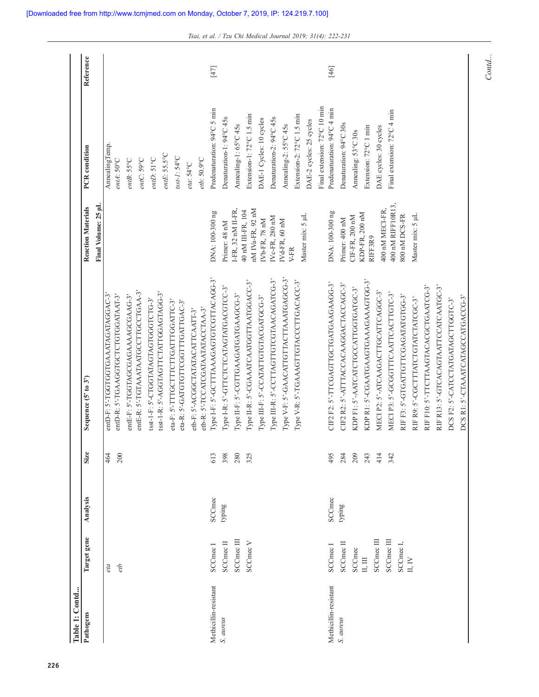| Table 1: Contd        |                             |               |             |                                                                            |                                         |                              |           |
|-----------------------|-----------------------------|---------------|-------------|----------------------------------------------------------------------------|-----------------------------------------|------------------------------|-----------|
| Pathogens             | Target gene                 | Analysis      | <b>Size</b> | Sequence (5' to 3')                                                        | <b>Reaction Materials</b>               | PCR condition                | Reference |
|                       |                             |               |             |                                                                            | Final Volume: 25 µL                     |                              |           |
|                       | eta                         |               | 464         | entD-F: 5'-TGGTGGTGAAATAGATAGGAC-3'<br>antD-R: 5'-TGAAGGTGCTCTGTGGATAAT-3' |                                         | AnnealingTemp.<br>entA: 50°C |           |
|                       | etb                         |               | 200         |                                                                            |                                         |                              |           |
|                       |                             |               |             | entE-F: 5'-TGGTAGCGAGAAAAGCGAAG-3'                                         |                                         | entB: 55°C                   |           |
|                       |                             |               |             | antE-R: 5'-TGTAAATAATGCCTTGCCTGAA-3'                                       |                                         | entC: 59°C                   |           |
|                       |                             |               |             | tsst-1-F: 5'-CTGGTATAGTAGTGGGTCTG-3'                                       |                                         | $entD:51^{\circ}C$           |           |
|                       |                             |               |             | tsst-1-R: 5'-AGGTAGTTCTATTGGAGTAGG-3'                                      |                                         | $entE:$ 55.5°C               |           |
|                       |                             |               |             | eta-F: 5'-TTTGCTTTCTTGATTTGGATTC-3'<br>eta-R: 5'-GATGTGTTCGGTTTGATTGAC-3'  |                                         | $t s s t$ - $I : 54$ °C      |           |
|                       |                             |               |             | etb-F: S'-ACGGCTATATACATTCAATT-3'                                          |                                         | eta: 54°C                    |           |
|                       |                             |               |             | etb-R: 5'-TCCATCGATAATATACCTAA-3'                                          |                                         | etb: $50.9^{\circ}$ C        |           |
| Methicillin-resistant | SCCmec <sub>I</sub>         | <b>SCCmec</b> | 613         | Type I-F: S'-GCTTTAAAGAGTGTCGTTACAGG-3'                                    | DNA: 100-300 ng                         | Predenaturation: 94°C 5 min  | $[47]$    |
| S. aureus             | SCCmec II                   | typing        | 398         | Iype I-R: S'-GTTCTCTCATAGTATGACGTCC-3'                                     | Primer: 48 nM                           | Denaturation-1: 94°C 45s     |           |
|                       | SCCmee III                  |               | 280         | Type II-F: S'-CGTTGAAGATGATGAAGCG-3'                                       | $I-FR$ , 32 nM $II-FR$ ,                | Annealing-1: 65°C 45s        |           |
|                       | SCCmec V                    |               | 325         | Type II-R: 5'-CGAAATCAATGGTTAATGGACC-3'                                    | nM IVa-FR, 92 nM<br>40 nM III-FR, 104   | Extension-1: 72°C 1.5 min    |           |
|                       |                             |               |             | Type III-F: S'-CCATATTGTGTACGATGCG-3'                                      | $\rm{IVD}\mbox{-}\rm{FR},\,78\;\rm{nM}$ | DAE-1 Cycles: 10 cycles      |           |
|                       |                             |               |             | Type III-R: S'-CCTTAGTTGTCGTAACAGATCG-3'                                   | IVc-FR, 280 nM                          | Denaturation-2: 94°C 45s     |           |
|                       |                             |               |             | Type V-F: S'-GAACATTGTTACTTAAATGAGCG-3'                                    | IVd-FR, 60 nM                           | Annealing-2: 55°C 45s        |           |
|                       |                             |               |             | Type V-R: 5'-TGAAAGTTGTACCCTTGACACC-3'                                     | V-FR                                    | Extension-2: 72°C 1.5 min    |           |
|                       |                             |               |             |                                                                            | Master mix: 5 µL                        | DAE-2 cycles: 25 cycles      |           |
|                       |                             |               |             |                                                                            |                                         | Final extension: 72°C 10 min |           |
| Methicillin-resistant | SCCmec <sub>I</sub>         | <b>SCCmec</b> | 495         | CIF2 F2: 5'-TTCGAGTTGCTGATGAAGAAGG-3'                                      | DNA: 100-300 ng                         | Predenaturation: 94°C 4 min  | $[46]$    |
| S. aureus             | SCCmec <sub>II</sub>        | typing        | 284         | CIF2 R2: 5'-ATTTACCACAAGGACTACCAGC-3'                                      | Primer: 400 nM                          | Denaturation: 94°C 30s       |           |
|                       | <b>SCCmec</b>               |               | 209         | KDP F1: 5'-AATCATCTGCCATTGGTGATGC-3'                                       | CIF-FR, 200 nM                          | Annealing: 53°C 30s          |           |
|                       | $\mathbb{II}, \mathbb{III}$ |               | 243         | KDP R1: 5'-CGAATGAAGTGAAAGAAAGTGG-3'                                       | KDP-FR, 200 nM<br>RIFF3R9               | Extension: 72°C 1 min        |           |
|                       | SCCmec III                  |               | 414         | MECIP2: 5'-ATCAAGACTTGCATTCAGGC-3'                                         | 400 nM MECI-FR,                         | DAE cycles: 30 cycles        |           |
|                       | SCCmec III                  |               | 342         | MECIP3: S'-GCGGTTTCAATTCACTTGTC-3'                                         | 400 nM RIFF10R13,                       | Final extension: 72°C 4 min  |           |
|                       | SCCmec <sub>I</sub> ,       |               |             | RIF F3: 5'-GTGATTGTTCGAGATATGTGG-3'                                        | 800 nM DCS-FR                           |                              |           |
|                       | II, IV                      |               |             | RIF R9: 5'-CGCTTTATCTGTATCTATCGC-3'                                        | Master mix: 5 µL                        |                              |           |
|                       |                             |               |             | RIF F10: 5'-TTCTTAAGTACACGCTGAATCG-3"                                      |                                         |                              |           |
|                       |                             |               |             | RIF R13: S'-GTCACAGTAATTCCATCAATGC-3'                                      |                                         |                              |           |
|                       |                             |               |             | DCS F2: 5'-CATCCTATGATAGCTTGGTC-3'                                         |                                         |                              |           |
|                       |                             |               |             | DCS R1: 5'-CTAAATCATAGCCATGACCG-3'                                         |                                         |                              |           |

*Tsai, et al. / Tzu Chi Medical Journal 2019; 31(4): 222-231*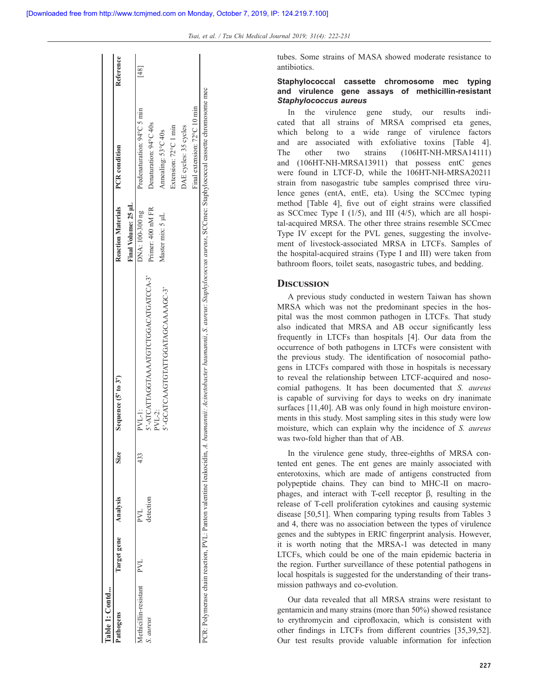tubes. Some strains of MASA showed moderate resistance to antibiotics.

## **Staphylococcal cassette chromosome mec typing and virulence gene assays of methicillin-resistant**  *Staphylococcus aureus*

In the virulence gene study, our results indicated that all strains of MRSA comprised eta genes, which belong to a wide range of virulence factors and are associated with exfoliative toxins [Table 4]. The other two strains (106HT-NH-MRSA14111) and (106HT-NH-MRSA13911) that possess entC genes were found in LTCF-D, while the 106HT-NH-MRSA20211 strain from nasogastric tube samples comprised three virulence genes (entA, entE, eta). Using the SCCmec typing method [Table 4], five out of eight strains were classified as SCCmec Type I  $(1/5)$ , and III  $(4/5)$ , which are all hospital-acquired MRSA. The other three strains resemble SCCmec Type IV except for the PVL genes, suggesting the involvement of livestock-associated MRSA in LTCFs. Samples of the hospital-acquired strains (Type I and III) were taken from bathroom floors, toilet seats, nasogastric tubes, and bedding.

### **Discussion**

A previous study conducted in western Taiwan has shown MRSA which was not the predominant species in the hospital was the most common pathogen in LTCFs. That study also indicated that MRSA and AB occur significantly less frequently in LTCFs than hospitals [4]. Our data from the occurrence of both pathogens in LTCFs were consistent with the previous study. The identification of nosocomial pathogens in LTCFs compared with those in hospitals is necessary to reveal the relationship between LTCF-acquired and nosocomial pathogens. It has been documented that *S. aureus* is capable of surviving for days to weeks on dry inanimate surfaces [11,40]. AB was only found in high moisture environments in this study. Most sampling sites in this study were low moisture, which can explain why the incidence of *S. aureus* was two-fold higher than that of AB.

In the virulence gene study, three-eighths of MRSA contented ent genes. The ent genes are mainly associated with enterotoxins, which are made of antigens constructed from polypeptide chains. They can bind to MHC-II on macrophages, and interact with T-cell receptor β, resulting in the release of T-cell proliferation cytokines and causing systemic disease [50,51]. When comparing typing results from Tables 3 and 4, there was no association between the types of virulence genes and the subtypes in ERIC fingerprint analysis. However, it is worth noting that the MRSA-1 was detected in many LTCFs, which could be one of the main epidemic bacteria in the region. Further surveillance of these potential pathogens in local hospitals is suggested for the understanding of their transmission pathways and co-evolution.

Our data revealed that all MRSA strains were resistant to gentamicin and many strains (more than 50%) showed resistance to erythromycin and ciprofloxacin, which is consistent with other findings in LTCFs from different countries [35,39,52]. Our test results provide valuable information for infection

| Table 1: Contd                                                     |             |                           |             |                                                                                                                         |                           |                              |           |
|--------------------------------------------------------------------|-------------|---------------------------|-------------|-------------------------------------------------------------------------------------------------------------------------|---------------------------|------------------------------|-----------|
| Pathogens                                                          | Target gene | Analysis                  | <b>Size</b> | Sequence $(5'$ to $3')$                                                                                                 | <b>Reaction Materials</b> | <b>PCR</b> condition         | Reference |
|                                                                    |             |                           |             |                                                                                                                         | Final Volume: 25 uL       |                              |           |
| Aethicillin-resistant                                              | PVL         | $\mathbb{R}^{\mathbb{Z}}$ | 433         | PVL-1:                                                                                                                  | DNA: 100-300 ng           | Predenaturation: 94°C 5 min  |           |
| S. aureus                                                          |             | detection                 |             | 5'-ATCATTAGGTAAATGTCTGGACATGATCCA-3'                                                                                    | Primer: 400 nM FR         | Denaturation: 94°C 40s       |           |
|                                                                    |             |                           |             | 5'-GCATCAAGTGTATTGGATAGCAAAAGC-3'<br>$PVL-2$ :                                                                          | Master mix: 5 µL          | Annealing: 53°C 40s          |           |
|                                                                    |             |                           |             |                                                                                                                         |                           | Extension: 72°C 1 min        |           |
|                                                                    |             |                           |             |                                                                                                                         |                           | DAE cycles: 35 cycles        |           |
|                                                                    |             |                           |             |                                                                                                                         |                           | Final extension: 72°C 10 min |           |
| CR: Polymerase chain reaction, PVL: Panton valentine leukocidin, A |             |                           |             | l. baumannii: Acinetobacter baumannii, S. aureus: Staphylococcus aureus, SCCmec: Staphylococcal cassette chromosome mec |                           |                              |           |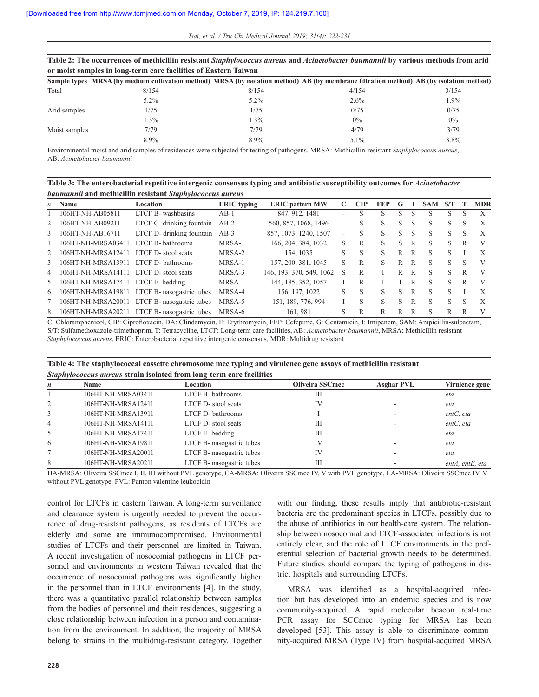|               | THAT IT IN A CALL AND A HIGH AND CONTAINING THAT CARD AND A CALL AND A COMMON AND A CALL AND A CALL AND A CALL AND A CALL AND AND A CALL AND AND A CALL AND A CALL AND A CALL AND A CALL AND A CALL AND A CALL AND A CALL AND |         |         |       |
|---------------|-------------------------------------------------------------------------------------------------------------------------------------------------------------------------------------------------------------------------------|---------|---------|-------|
|               | or moist samples in long-term care facilities of Eastern Taiwan                                                                                                                                                               |         |         |       |
|               | Sample types MRSA (by medium cultivation method) MRSA (by isolation method) AB (by membrane filtration method) AB (by isolation method)                                                                                       |         |         |       |
| Total         | 8/154                                                                                                                                                                                                                         | 8/154   | 4/154   | 3/154 |
|               | $5.2\%$                                                                                                                                                                                                                       | $5.2\%$ | $2.6\%$ | 1.9%  |
| Arid samples  | 1/75                                                                                                                                                                                                                          | 1/75    | 0/75    | 0/75  |
|               | $1.3\%$                                                                                                                                                                                                                       | 1.3%    | $0\%$   | $0\%$ |
| Moist samples | 7/79                                                                                                                                                                                                                          | 7/79    | 4/79    | 3/79  |
|               | 8.9%                                                                                                                                                                                                                          | 8.9%    | $5.1\%$ | 3.8%  |

**Table 2: The occurrences of methicillin resistant** *Staphylococcus aureus* **and** *Acinetobacter baumannii* **by various methods from arid** 

Environmental moist and arid samples of residences were subjected for testing of pathogens. MRSA: Methicillin-resistant *Staphylococcus aureus*, AB: *Acinetobacter baumannii*

**Table 3: The enterobacterial repetitive intergenic consensus typing and antibiotic susceptibility outcomes for** *Acinetobacter baumannii* **and methicillin resistant** *Staphylococcus aureus*

| $\mathbf{n}$  | Name                               | Location                                     | <b>ERIC</b> typing | <b>ERIC</b> pattern MW   | C | <b>CIP</b> | FEP | G |   | <b>SAM</b> | S/T |   | <b>MDR</b> |
|---------------|------------------------------------|----------------------------------------------|--------------------|--------------------------|---|------------|-----|---|---|------------|-----|---|------------|
|               | 106HT-NH-AB05811                   | LTCF B- washbasins                           | $AB-1$             | 847, 912, 1481           |   |            | S   | S | S | S          | S   | S | X          |
|               | 106HT-NH-AB09211                   | LTCF C- drinking fountain                    | $AB-2$             | 560, 857, 1068, 1496     | ۰ | S          | S   | S | S | S          | S   | S | X          |
| 3             | 106HT-NH-AB16711                   | LTCF D- drinking fountain                    | $AB-3$             | 857, 1073, 1240, 1507    | ٠ | S          | S   | S | S | S          | S   | S | X          |
|               | 106HT-NH-MRSA03411                 | LTCF B-bathrooms                             | MRSA-1             | 166, 204, 384, 1032      | S | R          | S   | S | R | S          | S   | R | V          |
|               | 106HT-NH-MRSA12411                 | LTCF D-stool seats                           | MRSA-2             | 154, 1035                | S | S          | S   | R | R | S          | S   |   | X          |
| $\mathcal{F}$ | 106HT-NH-MRSA13911                 | LTCF D- bathrooms                            | MRSA-1             | 157, 200, 381, 1045      | S | R          | S   | R | R | S          | S   | S | V          |
| 4             | 106HT-NH-MRSA14111                 | LTCF D- stool seats                          | MRSA-3             | 146, 193, 370, 549, 1062 | S | R          |     | R | R | S          | S.  | R | V          |
| 5             | 106HT-NH-MRSA17411 LTCF E- bedding |                                              | MRSA-1             | 144, 185, 352, 1057      |   | R          |     |   | R | S          | S   | R |            |
| 6             |                                    | 106HT-NH-MRSA19811 LTCF B- nasogastric tubes | MRSA-4             | 156, 197, 1022           | S | S          | S   | S | R | S          | S   |   | X          |
|               | 106HT-NH-MRSA20011                 | LTCF B- nasogastric tubes                    | MRSA-5             | 151, 189, 776, 994       |   | S          | S   | S | R | S          | S   | S | X          |
| 8             |                                    | 106HT-NH-MRSA20211 LTCF B- nasogastric tubes | MRSA-6             | 161.981                  | S |            | R   | R | R | S          | R   | R | V          |

C: Chloramphenicol, CIP: Ciprofloxacin, DA: Clindamycin, E: Erythromycin, FEP: Cefepime, G: Gentamicin, I: Imipenem, SAM: Ampicillin-sulbactam, S/T: Sulfamethoxazole-trimethoprim, T: Tetracycline, LTCF: Long-term care facilities, AB: *Acinetobacter baumannii*, MRSA: Methicillin resistant *Staphylococcus aureus*, ERIC: Enterobacterial repetitive intergenic consensus, MDR: Multidrug resistant

| Table 4: The staphylococcal cassette chromosome mec typing and virulence gene assays of methicillin resistant |
|---------------------------------------------------------------------------------------------------------------|
| Staphylococcus aureus strain isolated from long-term care facilities                                          |

| n              | Name               | Location                  | <b>Oliveira SSCmec</b> | <b>Asghar PVL</b> | Virulence gene          |
|----------------|--------------------|---------------------------|------------------------|-------------------|-------------------------|
|                | 106HT-NH-MRSA03411 | LTCF B- bathrooms         | Ш                      |                   | eta                     |
| 2              | 106HT-NH-MRSA12411 | LTCF D-stool seats        | IV                     |                   | eta                     |
| 3              | 106HT-NH-MRSA13911 | LTCF D- bathrooms         |                        |                   | entC, eta               |
| $\overline{4}$ | 106HT-NH-MRSA14111 | LTCF D- stool seats       | Ш                      |                   | entC, eta               |
| 5              | 106HT-NH-MRSA17411 | LTCF E-bedding            | Ш                      |                   | eta                     |
| 6              | 106HT-NH-MRSA19811 | LTCF B- nasogastric tubes | IV                     |                   | eta                     |
|                | 106HT-NH-MRSA20011 | LTCF B- nasogastric tubes | IV                     |                   | eta                     |
| 8              | 106HT-NH-MRSA20211 | LTCF B- nasogastric tubes | Ш                      |                   | $entA$ , $entE$ , $eta$ |

HA-MRSA: Oliveira SSCmec I, II, III without PVL genotype, CA-MRSA: Oliveira SSCmec IV, V with PVL genotype, LA-MRSA: Oliveira SSCmec IV, V without PVL genotype. PVL: Panton valentine leukocidin

control for LTCFs in eastern Taiwan. A long-term surveillance and clearance system is urgently needed to prevent the occurrence of drug-resistant pathogens, as residents of LTCFs are elderly and some are immunocompromised. Environmental studies of LTCFs and their personnel are limited in Taiwan. A recent investigation of nosocomial pathogens in LTCF personnel and environments in western Taiwan revealed that the occurrence of nosocomial pathogens was significantly higher in the personnel than in LTCF environments [4]. In the study, there was a quantitative parallel relationship between samples from the bodies of personnel and their residences, suggesting a close relationship between infection in a person and contamination from the environment. In addition, the majority of MRSA belong to strains in the multidrug-resistant category. Together with our finding, these results imply that antibiotic-resistant bacteria are the predominant species in LTCFs, possibly due to the abuse of antibiotics in our health-care system. The relationship between nosocomial and LTCF-associated infections is not entirely clear, and the role of LTCF environments in the preferential selection of bacterial growth needs to be determined. Future studies should compare the typing of pathogens in district hospitals and surrounding LTCFs.

MRSA was identified as a hospital-acquired infection but has developed into an endemic species and is now community-acquired. A rapid molecular beacon real-time PCR assay for SCCmec typing for MRSA has been developed [53]. This assay is able to discriminate community-acquired MRSA (Type IV) from hospital-acquired MRSA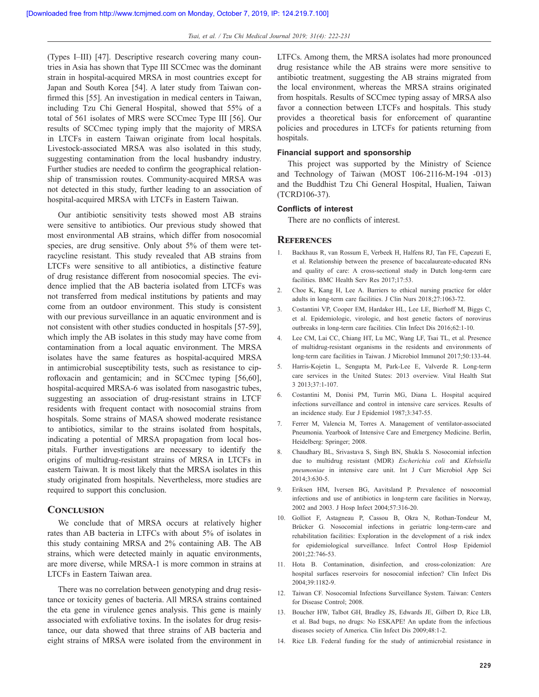(Types I–III) [47]. Descriptive research covering many countries in Asia has shown that Type III SCCmec was the dominant strain in hospital-acquired MRSA in most countries except for Japan and South Korea [54]. A later study from Taiwan confirmed this [55]. An investigation in medical centers in Taiwan, including Tzu Chi General Hospital, showed that 55% of a total of 561 isolates of MRS were SCCmec Type III [56]. Our results of SCCmec typing imply that the majority of MRSA in LTCFs in eastern Taiwan originate from local hospitals. Livestock-associated MRSA was also isolated in this study, suggesting contamination from the local husbandry industry. Further studies are needed to confirm the geographical relationship of transmission routes. Community-acquired MRSA was not detected in this study, further leading to an association of hospital-acquired MRSA with LTCFs in Eastern Taiwan.

Our antibiotic sensitivity tests showed most AB strains were sensitive to antibiotics. Our previous study showed that most environmental AB strains, which differ from nosocomial species, are drug sensitive. Only about 5% of them were tetracycline resistant. This study revealed that AB strains from LTCFs were sensitive to all antibiotics, a distinctive feature of drug resistance different from nosocomial species. The evidence implied that the AB bacteria isolated from LTCFs was not transferred from medical institutions by patients and may come from an outdoor environment. This study is consistent with our previous surveillance in an aquatic environment and is not consistent with other studies conducted in hospitals [57-59], which imply the AB isolates in this study may have come from contamination from a local aquatic environment. The MRSA isolates have the same features as hospital-acquired MRSA in antimicrobial susceptibility tests, such as resistance to ciprofloxacin and gentamicin; and in SCCmec typing [56,60], hospital-acquired MRSA-6 was isolated from nasogastric tubes, suggesting an association of drug-resistant strains in LTCF residents with frequent contact with nosocomial strains from hospitals. Some strains of MASA showed moderate resistance to antibiotics, similar to the strains isolated from hospitals, indicating a potential of MRSA propagation from local hospitals. Further investigations are necessary to identify the origins of multidrug-resistant strains of MRSA in LTCFs in eastern Taiwan. It is most likely that the MRSA isolates in this study originated from hospitals. Nevertheless, more studies are required to support this conclusion.

#### **Conclusion**

We conclude that of MRSA occurs at relatively higher rates than AB bacteria in LTFCs with about 5% of isolates in this study containing MRSA and 2% containing AB. The AB strains, which were detected mainly in aquatic environments, are more diverse, while MRSA-1 is more common in strains at LTCFs in Eastern Taiwan area.

There was no correlation between genotyping and drug resistance or toxicity genes of bacteria. All MRSA strains contained the eta gene in virulence genes analysis. This gene is mainly associated with exfoliative toxins. In the isolates for drug resistance, our data showed that three strains of AB bacteria and eight strains of MRSA were isolated from the environment in LTFCs. Among them, the MRSA isolates had more pronounced drug resistance while the AB strains were more sensitive to antibiotic treatment, suggesting the AB strains migrated from the local environment, whereas the MRSA strains originated from hospitals. Results of SCCmec typing assay of MRSA also favor a connection between LTCFs and hospitals. This study provides a theoretical basis for enforcement of quarantine policies and procedures in LTCFs for patients returning from hospitals.

#### **Financial support and sponsorship**

This project was supported by the Ministry of Science and Technology of Taiwan (MOST 106-2116-M-194 -013) and the Buddhist Tzu Chi General Hospital, Hualien, Taiwan (TCRD106-37).

### **Conflicts of interest**

There are no conflicts of interest.

#### **References**

- 1. Backhaus R, van Rossum E, Verbeek H, Halfens RJ, Tan FE, Capezuti E, et al. Relationship between the presence of baccalaureate-educated RNs and quality of care: A cross-sectional study in Dutch long-term care facilities. BMC Health Serv Res 2017;17:53.
- 2. Choe K, Kang H, Lee A. Barriers to ethical nursing practice for older adults in long-term care facilities. J Clin Nurs 2018;27:1063-72.
- 3. Costantini VP, Cooper EM, Hardaker HL, Lee LE, Bierhoff M, Biggs C, et al. Epidemiologic, virologic, and host genetic factors of norovirus outbreaks in long-term care facilities. Clin Infect Dis 2016;62:1-10.
- 4. Lee CM, Lai CC, Chiang HT, Lu MC, Wang LF, Tsai TL, et al. Presence of multidrug-resistant organisms in the residents and environments of long-term care facilities in Taiwan. J Microbiol Immunol 2017;50:133-44.
- 5. Harris-Kojetin L, Sengupta M, Park-Lee E, Valverde R. Long-term care services in the United States: 2013 overview. Vital Health Stat 3 2013;37:1-107.
- 6. Costantini M, Donisi PM, Turrin MG, Diana L. Hospital acquired infections surveillance and control in intensive care services. Results of an incidence study. Eur J Epidemiol 1987;3:347-55.
- 7. Ferrer M, Valencia M, Torres A. Management of ventilator-associated Pneumonia. Yearbook of Intensive Care and Emergency Medicine. Berlin, Heidelberg: Springer; 2008.
- 8. Chaudhary BL, Srivastava S, Singh BN, Shukla S. Nosocomial infection due to multidrug resistant (MDR) *Escherichia coli* and *Klebsiella pneumoniae* in intensive care unit. Int J Curr Microbiol App Sci 2014;3:630-5.
- 9. Eriksen HM, Iversen BG, Aavitsland P. Prevalence of nosocomial infections and use of antibiotics in long-term care facilities in Norway, 2002 and 2003. J Hosp Infect 2004;57:316-20.
- 10. Golliot F, Astagneau P, Cassou B, Okra N, Rothan-Tondeur M, Brücker G*.* Nosocomial infections in geriatric long-term-care and rehabilitation facilities: Exploration in the development of a risk index for epidemiological surveillance. Infect Control Hosp Epidemiol 2001;22:746-53.
- 11. Hota B. Contamination, disinfection, and cross-colonization: Are hospital surfaces reservoirs for nosocomial infection? Clin Infect Dis 2004;39:1182-9.
- 12. Taiwan CF. Nosocomial Infections Surveillance System. Taiwan: Centers for Disease Control; 2008.
- 13. Boucher HW, Talbot GH, Bradley JS, Edwards JE, Gilbert D, Rice LB, et al. Bad bugs, no drugs: No ESKAPE! An update from the infectious diseases society of America. Clin Infect Dis 2009;48:1-2.
- 14. Rice LB. Federal funding for the study of antimicrobial resistance in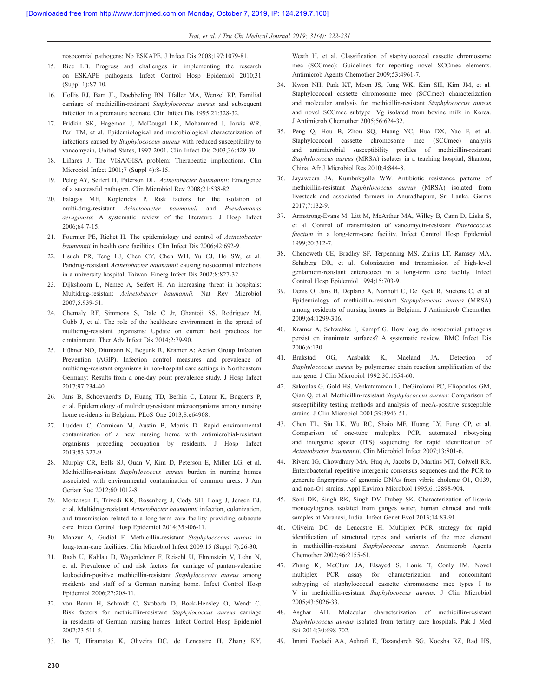*Tsai, et al. / Tzu Chi Medical Journal 2019; 31(4): 222-231*

nosocomial pathogens: No ESKAPE. J Infect Dis 2008;197:1079-81.

- 15. Rice LB. Progress and challenges in implementing the research on ESKAPE pathogens. Infect Control Hosp Epidemiol 2010;31 (Suppl 1):S7-10.
- 16. Hollis RJ, Barr JL, Doebbeling BN, Pfaller MA, Wenzel RP. Familial carriage of methicillin-resistant *Staphylococcus aureus* and subsequent infection in a premature neonate. Clin Infect Dis 1995;21:328-32.
- 17. Fridkin SK, Hageman J, McDougal LK, Mohammed J, Jarvis WR, Perl TM, et al. Epidemiological and microbiological characterization of infections caused by *Staphylococcus aureus* with reduced susceptibility to vancomycin, United States, 1997-2001. Clin Infect Dis 2003;36:429-39.
- 18. Liñares J. The VISA/GISA problem: Therapeutic implications. Clin Microbiol Infect 2001;7 (Suppl 4):8-15.
- 19. Peleg AY, Seifert H, Paterson DL. *Acinetobacter baumannii*: Emergence of a successful pathogen. Clin Microbiol Rev 2008;21:538-82.
- 20. Falagas ME, Kopterides P. Risk factors for the isolation of multi-drug-resistant *Acinetobacter baumannii* and *Pseudomonas aeruginosa*: A systematic review of the literature. J Hosp Infect 2006;64:7-15.
- 21. Fournier PE, Richet H. The epidemiology and control of *Acinetobacter baumannii* in health care facilities. Clin Infect Dis 2006;42:692-9.
- 22. Hsueh PR, Teng LJ, Chen CY, Chen WH, Yu CJ, Ho SW, et al*.* Pandrug-resistant *Acinetobacter baumannii* causing nosocomial infections in a university hospital, Taiwan. Emerg Infect Dis 2002;8:827-32.
- 23. Dijkshoorn L, Nemec A, Seifert H. An increasing threat in hospitals: Multidrug-resistant *Acinetobacter baumannii.* Nat Rev Microbiol 2007;5:939-51.
- 24. Chemaly RF, Simmons S, Dale C Jr, Ghantoji SS, Rodriguez M, Gubb J, et al*.* The role of the healthcare environment in the spread of multidrug-resistant organisms: Update on current best practices for containment. Ther Adv Infect Dis 2014;2:79-90.
- 25. Hübner NO, Dittmann K, Begunk R, Kramer A; Action Group Infection Prevention (AGIP). Infection control measures and prevalence of multidrug-resistant organisms in non-hospital care settings in Northeastern Germany: Results from a one-day point prevalence study. J Hosp Infect 2017;97:234-40.
- 26. Jans B, Schoevaerdts D, Huang TD, Berhin C, Latour K, Bogaerts P, et al. Epidemiology of multidrug-resistant microorganisms among nursing home residents in Belgium. PLoS One 2013;8:e64908.
- 27. Ludden C, Cormican M, Austin B, Morris D. Rapid environmental contamination of a new nursing home with antimicrobial-resistant organisms preceding occupation by residents. J Hosp Infect 2013;83:327-9.
- 28. Murphy CR, Eells SJ, Quan V, Kim D, Peterson E, Miller LG, et al. Methicillin-resistant *Staphylococcus aureus* burden in nursing homes associated with environmental contamination of common areas. J Am Geriatr Soc 2012;60:1012-8.
- 29. Mortensen E, Trivedi KK, Rosenberg J, Cody SH, Long J, Jensen BJ, et al. Multidrug-resistant *Acinetobacter baumannii* infection, colonization, and transmission related to a long-term care facility providing subacute care. Infect Control Hosp Epidemiol 2014;35:406-11.
- 30. Manzur A, Gudiol F. Methicillin-resistant *Staphylococcus aureus* in long-term-care facilities. Clin Microbiol Infect 2009;15 (Suppl 7):26-30.
- 31. Raab U, Kahlau D, Wagenlehner F, Reischl U, Ehrenstein V, Lehn N, et al. Prevalence of and risk factors for carriage of panton-valentine leukocidin-positive methicillin-resistant *Staphylococcus aureus* among residents and staff of a German nursing home. Infect Control Hosp Epidemiol 2006;27:208-11.
- 32. von Baum H, Schmidt C, Svoboda D, Bock-Hensley O, Wendt C. Risk factors for methicillin-resistant *Staphylococcus aureus* carriage in residents of German nursing homes. Infect Control Hosp Epidemiol 2002;23:511-5.
- 33. Ito T, Hiramatsu K, Oliveira DC, de Lencastre H, Zhang KY,

Westh H, et al. Classification of staphylococcal cassette chromosome mec (SCCmec): Guidelines for reporting novel SCCmec elements. Antimicrob Agents Chemother 2009;53:4961-7.

- 34. Kwon NH, Park KT, Moon JS, Jung WK, Kim SH, Kim JM, et al*.* Staphylococcal cassette chromosome mec (SCCmec) characterization and molecular analysis for methicillin-resistant *Staphylococcus aureus*  and novel SCCmec subtype IVg isolated from bovine milk in Korea. J Antimicrob Chemother 2005;56:624-32.
- 35. Peng Q, Hou B, Zhou SQ, Huang YC, Hua DX, Yao F, et al. Staphylococcal cassette chromosome mec (SCCmec) analysis and antimicrobial susceptibility profiles of methicillin-resistant *Staphylococcus aureus* (MRSA) isolates in a teaching hospital, Shantou, China. Afr J Microbiol Res 2010;4:844-8.
- 36. Jayaweera JA, Kumbukgolla WW. Antibiotic resistance patterns of methicillin-resistant *Staphylococcus aureus* (MRSA) isolated from livestock and associated farmers in Anuradhapura, Sri Lanka. Germs 2017;7:132-9.
- 37. Armstrong-Evans M, Litt M, McArthur MA, Willey B, Cann D, Liska S, et al. Control of transmission of vancomycin-resistant *Enterococcus faecium* in a long-term-care facility. Infect Control Hosp Epidemiol 1999;20:312-7.
- 38. Chenoweth CE, Bradley SF, Terpenning MS, Zarins LT, Ramsey MA, Schaberg DR, et al. Colonization and transmission of high-level gentamicin-resistant enterococci in a long-term care facility. Infect Control Hosp Epidemiol 1994;15:703-9.
- 39. Denis O, Jans B, Deplano A, Nonhoff C, De Ryck R, Suetens C, et al*.* Epidemiology of methicillin-resistant *Staphylococcus aureus* (MRSA) among residents of nursing homes in Belgium. J Antimicrob Chemother 2009;64:1299-306.
- 40. Kramer A, Schwebke I, Kampf G. How long do nosocomial pathogens persist on inanimate surfaces? A systematic review. BMC Infect Dis 2006;6:130.
- 41. Brakstad OG, Aasbakk K, Maeland JA. Detection *Staphylococcus aureus* by polymerase chain reaction amplification of the nuc gene. J Clin Microbiol 1992;30:1654-60.
- 42. Sakoulas G, Gold HS, Venkataraman L, DeGirolami PC, Eliopoulos GM, Qian Q, et al*.* Methicillin-resistant *Staphylococcus aureus*: Comparison of susceptibility testing methods and analysis of mecA-positive susceptible strains. J Clin Microbiol 2001;39:3946-51.
- 43. Chen TL, Siu LK, Wu RC, Shaio MF, Huang LY, Fung CP, et al. Comparison of one-tube multiplex PCR, automated ribotyping and intergenic spacer (ITS) sequencing for rapid identification of *Acinetobacter baumannii*. Clin Microbiol Infect 2007;13:801-6.
- 44. Rivera IG, Chowdhury MA, Huq A, Jacobs D, Martins MT, Colwell RR. Enterobacterial repetitive intergenic consensus sequences and the PCR to generate fingerprints of genomic DNAs from vibrio cholerae O1, O139, and non-O1 strains. Appl Environ Microbiol 1995;61:2898-904.
- 45. Soni DK, Singh RK, Singh DV, Dubey SK. Characterization of listeria monocytogenes isolated from ganges water, human clinical and milk samples at Varanasi, India. Infect Genet Evol 2013;14:83-91.
- 46. Oliveira DC, de Lencastre H. Multiplex PCR strategy for rapid identification of structural types and variants of the mec element in methicillin-resistant *Staphylococcus aureus*. Antimicrob Agents Chemother 2002;46:2155-61.
- 47. Zhang K, McClure JA, Elsayed S, Louie T, Conly JM. Novel multiplex PCR assay for characterization and concomitant subtyping of staphylococcal cassette chromosome mec types I to V in methicillin-resistant *Staphylococcus aureus*. J Clin Microbiol 2005;43:5026-33.
- 48. Asghar AH. Molecular characterization of methicillin-resistant *Staphylococcus aureus* isolated from tertiary care hospitals. Pak J Med Sci 2014;30:698-702.
- 49. Imani Fooladi AA, Ashrafi E, Tazandareh SG, Koosha RZ, Rad HS,